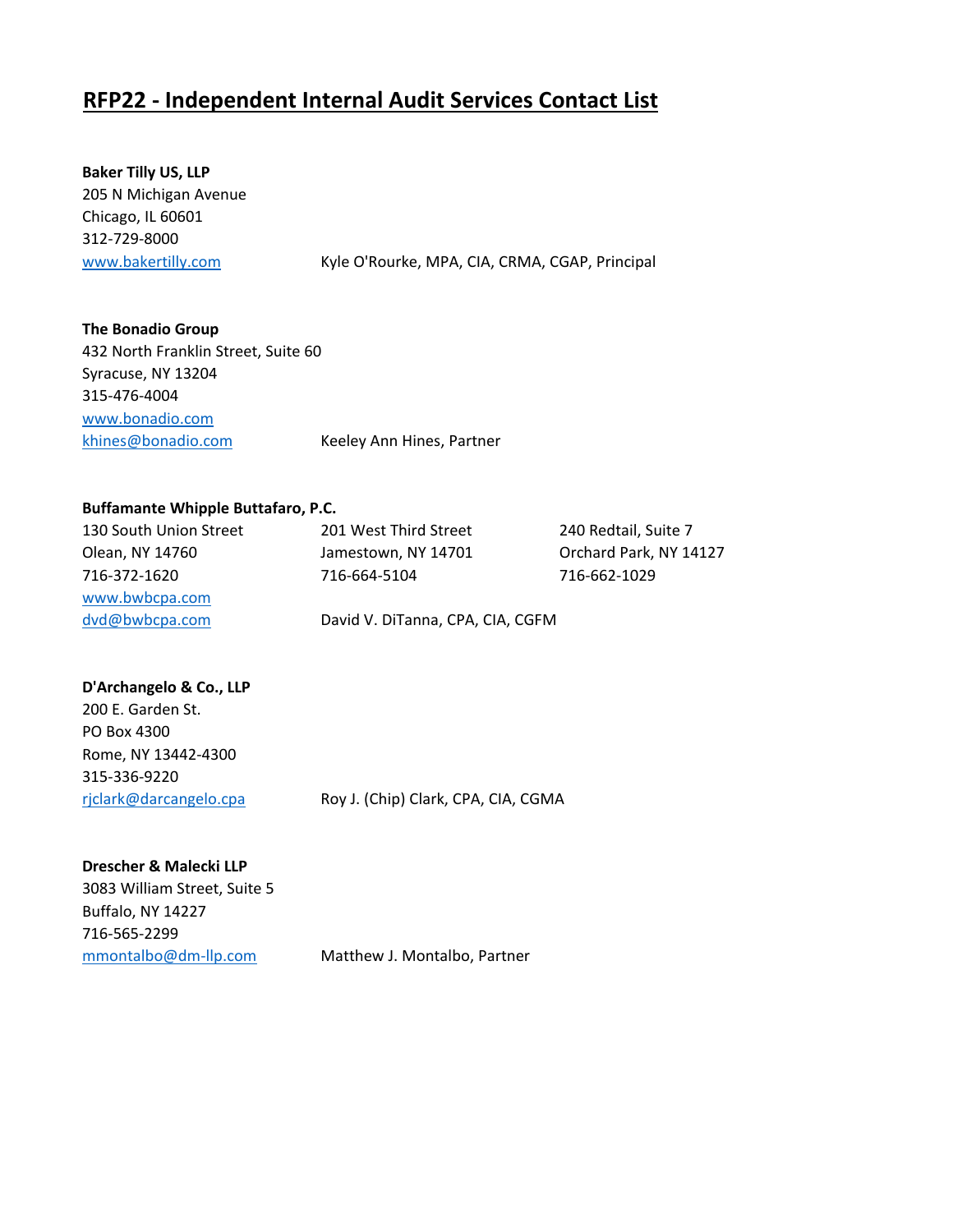## **RFP22 - Independent Internal Audit Services Contact List**

**Baker Tilly US, LLP** 205 N Michigan Avenue Chicago, IL 60601 312-729-8000

[www.bakertilly.com](http://www.bakertilly.com/) Kyle O'Rourke, MPA, CIA, CRMA, CGAP, Principal

**The Bonadio Group** 432 North Franklin Street, Suite 60 Syracuse, NY 13204 315-476-4004 [www.bonadio.com](http://www.bonadio.com/) [khines@bonadio.com](mailto:khines@bonadio.com) Keeley Ann Hines, Partner

## **Buffamante Whipple Buttafaro, P.C.**

| 130 South Union Street | 201 West Third Street            | 240 Redtail, Suite 7   |
|------------------------|----------------------------------|------------------------|
| Olean, NY 14760        | Jamestown, NY 14701              | Orchard Park, NY 14127 |
| 716-372-1620           | 716-664-5104                     | 716-662-1029           |
| www.bwbcpa.com         |                                  |                        |
| dvd@bwbcpa.com         | David V. DiTanna, CPA, CIA, CGFM |                        |

## **D'Archangelo & Co., LLP**

| rjclark@darcangelo.cpa | Roy J. (Chip) Clark, CPA, CIA, CGMA |
|------------------------|-------------------------------------|
| 315-336-9220           |                                     |
| Rome, NY 13442-4300    |                                     |
| PO Box 4300            |                                     |
| 200 E. Garden St.      |                                     |

**Drescher & Malecki LLP** 3083 William Street, Suite 5 Buffalo, NY 14227 716-565-2299 [mmontalbo@dm-llp.com](mailto:mmontalbo@dm-llp.com) Matthew J. Montalbo, Partner